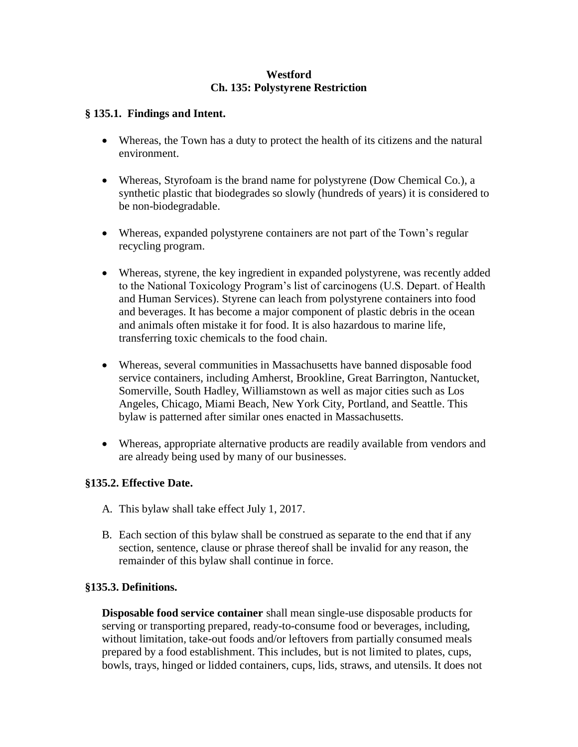#### **Westford Ch. 135: Polystyrene Restriction**

#### **§ 135.1. Findings and Intent.**

- Whereas, the Town has a duty to protect the health of its citizens and the natural environment.
- Whereas, Styrofoam is the brand name for polystyrene (Dow Chemical Co.), a synthetic plastic that biodegrades so slowly (hundreds of years) it is considered to be non-biodegradable.
- Whereas, expanded polystyrene containers are not part of the Town's regular recycling program.
- Whereas, styrene, the key ingredient in expanded polystyrene, was recently added to the National Toxicology Program's list of carcinogens (U.S. Depart. of Health and Human Services). Styrene can leach from polystyrene containers into food and beverages. It has become a major component of plastic debris in the ocean and animals often mistake it for food. It is also hazardous to marine life, transferring toxic chemicals to the food chain.
- Whereas, several communities in Massachusetts have banned disposable food service containers, including Amherst, Brookline, Great Barrington, Nantucket, Somerville, South Hadley, Williamstown as well as major cities such as Los Angeles, Chicago, Miami Beach, New York City, Portland, and Seattle. This bylaw is patterned after similar ones enacted in Massachusetts.
- Whereas, appropriate alternative products are readily available from vendors and are already being used by many of our businesses.

## **§135.2. Effective Date.**

- A. This bylaw shall take effect July 1, 2017.
- B. Each section of this bylaw shall be construed as separate to the end that if any section, sentence, clause or phrase thereof shall be invalid for any reason, the remainder of this bylaw shall continue in force.

## **§135.3. Definitions.**

**Disposable food service container** shall mean single-use disposable products for serving or transporting prepared, ready-to-consume food or beverages, including, without limitation, take-out foods and/or leftovers from partially consumed meals prepared by a food establishment. This includes, but is not limited to plates, cups, bowls, trays, hinged or lidded containers, cups, lids, straws, and utensils. It does not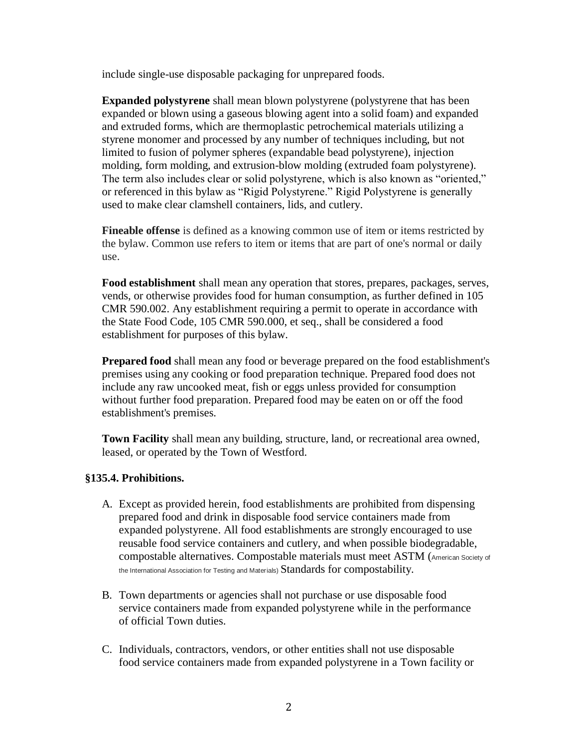include single-use disposable packaging for unprepared foods.

**Expanded polystyrene** shall mean blown polystyrene (polystyrene that has been expanded or blown using a gaseous blowing agent into a solid foam) and expanded and extruded forms, which are thermoplastic petrochemical materials utilizing a styrene monomer and processed by any number of techniques including, but not limited to fusion of polymer spheres (expandable bead polystyrene), injection molding, form molding, and extrusion-blow molding (extruded foam polystyrene). The term also includes clear or solid polystyrene, which is also known as "oriented," or referenced in this bylaw as "Rigid Polystyrene." Rigid Polystyrene is generally used to make clear clamshell containers, lids, and cutlery.

**Fineable offense** is defined as a knowing common use of item or items restricted by the bylaw. Common use refers to item or items that are part of one's normal or daily use.

**Food establishment** shall mean any operation that stores, prepares, packages, serves, vends, or otherwise provides food for human consumption, as further defined in 105 CMR 590.002. Any establishment requiring a permit to operate in accordance with the State Food Code, 105 CMR 590.000, et seq., shall be considered a food establishment for purposes of this bylaw.

**Prepared food** shall mean any food or beverage prepared on the food establishment's premises using any cooking or food preparation technique. Prepared food does not include any raw uncooked meat, fish or eggs unless provided for consumption without further food preparation. Prepared food may be eaten on or off the food establishment's premises.

**Town Facility** shall mean any building, structure, land, or recreational area owned, leased, or operated by the Town of Westford.

#### **§135.4. Prohibitions.**

- A. Except as provided herein, food establishments are prohibited from dispensing prepared food and drink in disposable food service containers made from expanded polystyrene. All food establishments are strongly encouraged to use reusable food service containers and cutlery, and when possible biodegradable, compostable alternatives. Compostable materials must meet ASTM (American Society of the International Association for Testing and Materials) Standards for compostability.
- B. Town departments or agencies shall not purchase or use disposable food service containers made from expanded polystyrene while in the performance of official Town duties.
- C. Individuals, contractors, vendors, or other entities shall not use disposable food service containers made from expanded polystyrene in a Town facility or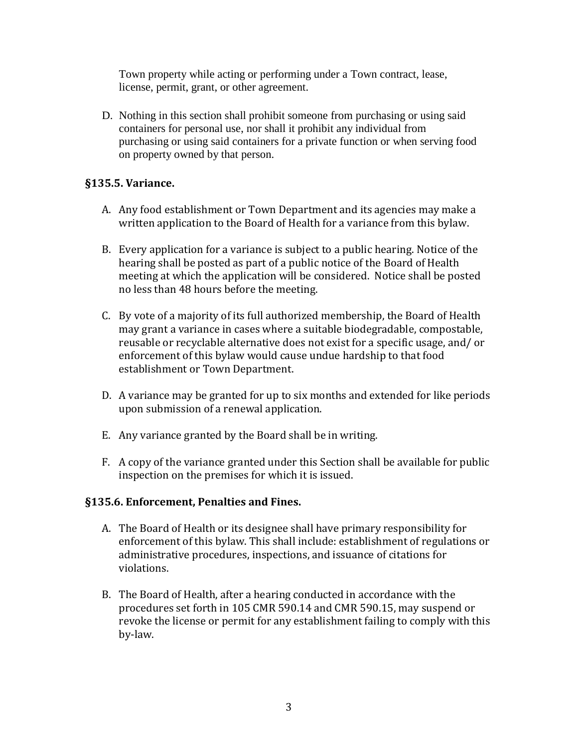Town property while acting or performing under a Town contract, lease, license, permit, grant, or other agreement.

D. Nothing in this section shall prohibit someone from purchasing or using said containers for personal use, nor shall it prohibit any individual from purchasing or using said containers for a private function or when serving food on property owned by that person.

# **§135.5. Variance.**

- A. Any food establishment or Town Department and its agencies may make a written application to the Board of Health for a variance from this bylaw.
- B. Every application for a variance is subject to a public hearing. Notice of the hearing shall be posted as part of a public notice of the Board of Health meeting at which the application will be considered. Notice shall be posted no less than 48 hours before the meeting.
- C. By vote of a majority of its full authorized membership, the Board of Health may grant a variance in cases where a suitable biodegradable, compostable, reusable or recyclable alternative does not exist for a specific usage, and/ or enforcement of this bylaw would cause undue hardship to that food establishment or Town Department.
- D. A variance may be granted for up to six months and extended for like periods upon submission of a renewal application.
- E. Any variance granted by the Board shall be in writing.
- F. A copy of the variance granted under this Section shall be available for public inspection on the premises for which it is issued.

## **§135.6. Enforcement, Penalties and Fines.**

- A. The Board of Health or its designee shall have primary responsibility for enforcement of this bylaw. This shall include: establishment of regulations or administrative procedures, inspections, and issuance of citations for violations.
- B. The Board of Health, after a hearing conducted in accordance with the procedures set forth in 105 CMR 590.14 and CMR 590.15, may suspend or revoke the license or permit for any establishment failing to comply with this by-law.